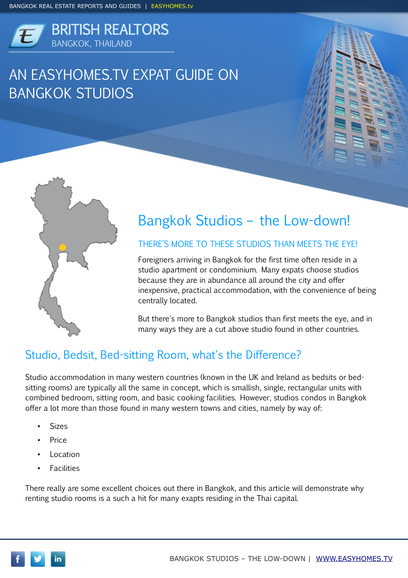

# AN EASYHOMES.TV EXPAT GUIDE ON BANGKOK STUDIOS





# Bangkok Studios – the Low-down!

#### THERE'S MORE TO THESE STUDIOS THAN MEETS THE EYE!

Foreigners arriving in Bangkok for the first time often reside in a studio apartment or condominium. Many expats choose studios because they are in abundance all around the city and offer inexpensive, practical accommodation, with the convenience of being centrally located.

But there's more to Bangkok studios than first meets the eye, and in many ways they are a cut above studio found in other countries.

## Studio, Bedsit, Bed-sitting Room, what's the Difference?

Studio accommodation in many western countries (known in the UK and Ireland as bedsits or bedsitting rooms) are typically all the same in concept, which is smallish, single, rectangular units with combined bedroom, sitting room, and basic cooking facilities. However, studios condos in Bangkok offer a lot more than those found in many western towns and cities, namely by way of:

- Sizes
- Price
- **Location**
- **Facilities**

There really are some excellent choices out there in Bangkok, and this article will demonstrate why renting studio rooms is a such a hit for many exapts residing in the Thai capital.

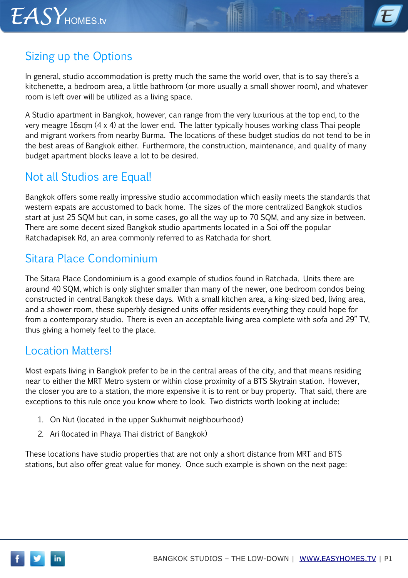

# Sizing up the Options

In general, studio accommodation is pretty much the same the world over, that is to say there's a kitchenette, a bedroom area, a little bathroom (or more usually a small shower room), and whatever room is left over will be utilized as a living space.

A Studio apartment in Bangkok, however, can range from the very luxurious at the top end, to the very meagre 16sqm (4 x 4) at the lower end. The latter typically houses working class Thai people and migrant workers from nearby Burma. The locations of these budget studios do not tend to be in the best areas of Bangkok either. Furthermore, the construction, maintenance, and quality of many budget apartment blocks leave a lot to be desired.

#### Not all Studios are Equal!

Bangkok offers some really impressive studio accommodation which easily meets the standards that western expats are accustomed to back home. The sizes of the more centralized Bangkok studios start at just 25 SQM but can, in some cases, go all the way up to 70 SQM, and any size in between. There are some decent sized Bangkok studio apartments located in a Soi off the popular Ratchadapisek Rd, an area commonly referred to as Ratchada for short.

## Sitara Place Condominium

The Sitara Place Condominium is a good example of studios found in Ratchada. Units there are around 40 SQM, which is only slighter smaller than many of the newer, one bedroom condos being constructed in central Bangkok these days. With a small kitchen area, a king-sized bed, living area, and a shower room, these superbly designed units offer residents everything they could hope for from a contemporary studio. There is even an acceptable living area complete with sofa and 29" TV, thus giving a homely feel to the place.

#### Location Matters!

Most expats living in Bangkok prefer to be in the central areas of the city, and that means residing near to either the MRT Metro system or within close proximity of a BTS Skytrain station. However, the closer you are to a station, the more expensive it is to rent or buy property. That said, there are exceptions to this rule once you know where to look. Two districts worth looking at include:

- 1. On Nut (located in the upper Sukhumvit neighbourhood)
- 2. Ari (located in Phaya Thai district of Bangkok)

These locations have studio properties that are not only a short distance from MRT and BTS stations, but also offer great value for money. Once such example is shown on the next page: